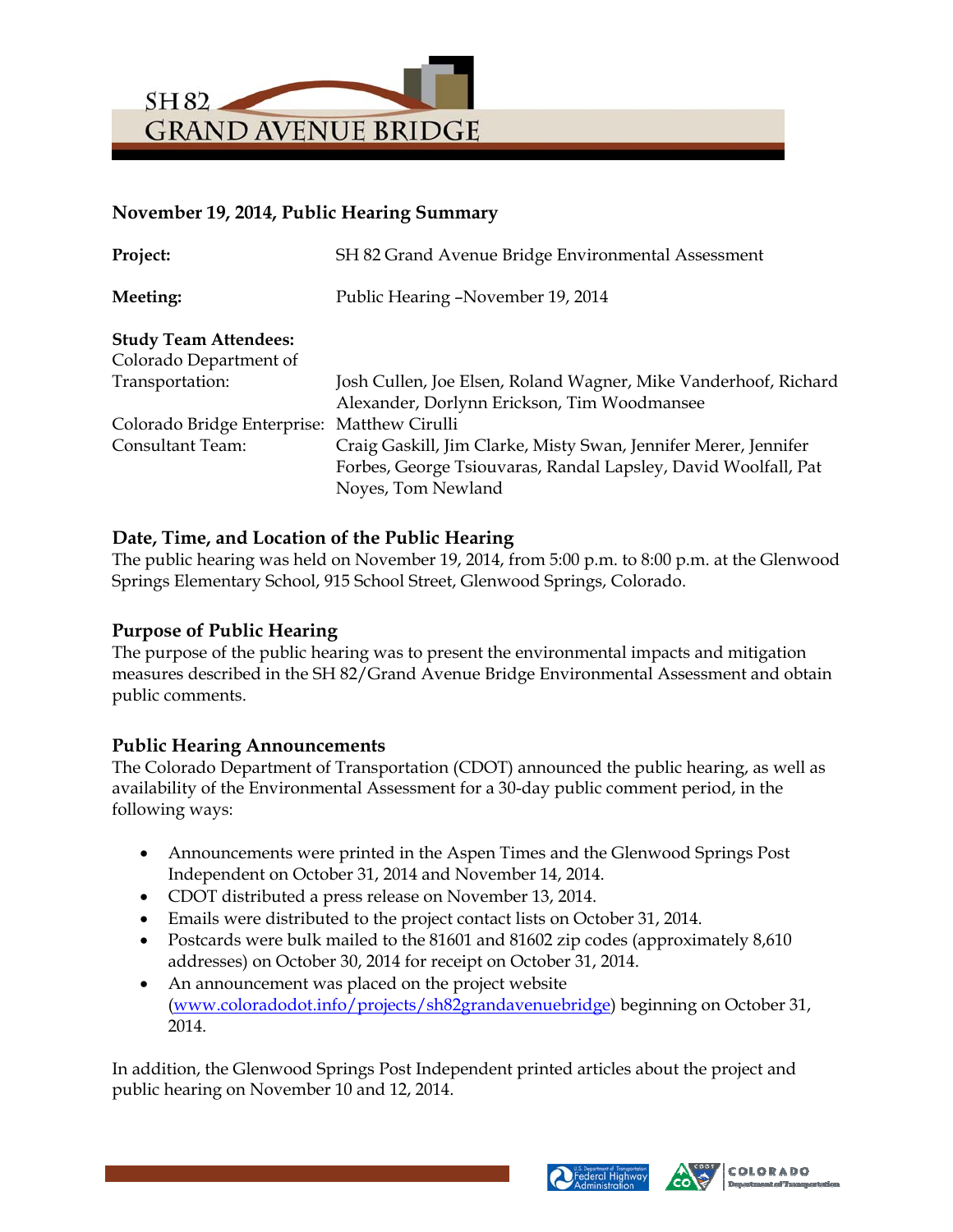

# **November 19, 2014, Public Hearing Summary**

| Project:                     | SH 82 Grand Avenue Bridge Environmental Assessment              |
|------------------------------|-----------------------------------------------------------------|
| Meeting:                     | Public Hearing –November 19, 2014                               |
| <b>Study Team Attendees:</b> |                                                                 |
| Colorado Department of       |                                                                 |
| Transportation:              | Josh Cullen, Joe Elsen, Roland Wagner, Mike Vanderhoof, Richard |
|                              | Alexander, Dorlynn Erickson, Tim Woodmansee                     |
| Colorado Bridge Enterprise:  | Matthew Cirulli                                                 |
| <b>Consultant Team:</b>      | Craig Gaskill, Jim Clarke, Misty Swan, Jennifer Merer, Jennifer |
|                              | Forbes, George Tsiouvaras, Randal Lapsley, David Woolfall, Pat  |
|                              | Noyes, Tom Newland                                              |

# **Date, Time, and Location of the Public Hearing**

The public hearing was held on November 19, 2014, from 5:00 p.m. to 8:00 p.m. at the Glenwood Springs Elementary School, 915 School Street, Glenwood Springs, Colorado.

#### **Purpose of Public Hearing**

The purpose of the public hearing was to present the environmental impacts and mitigation measures described in the SH 82/Grand Avenue Bridge Environmental Assessment and obtain public comments.

# **Public Hearing Announcements**

The Colorado Department of Transportation (CDOT) announced the public hearing, as well as availability of the Environmental Assessment for a 30-day public comment period, in the following ways:

- Announcements were printed in the Aspen Times and the Glenwood Springs Post Independent on October 31, 2014 and November 14, 2014.
- CDOT distributed a press release on November 13, 2014.
- Emails were distributed to the project contact lists on October 31, 2014.
- Postcards were bulk mailed to the 81601 and 81602 zip codes (approximately 8,610) addresses) on October 30, 2014 for receipt on October 31, 2014.
- An announcement was placed on the project website (www.coloradodot.info/projects/sh82grandavenuebridge) beginning on October 31, 2014.

In addition, the Glenwood Springs Post Independent printed articles about the project and public hearing on November 10 and 12, 2014.



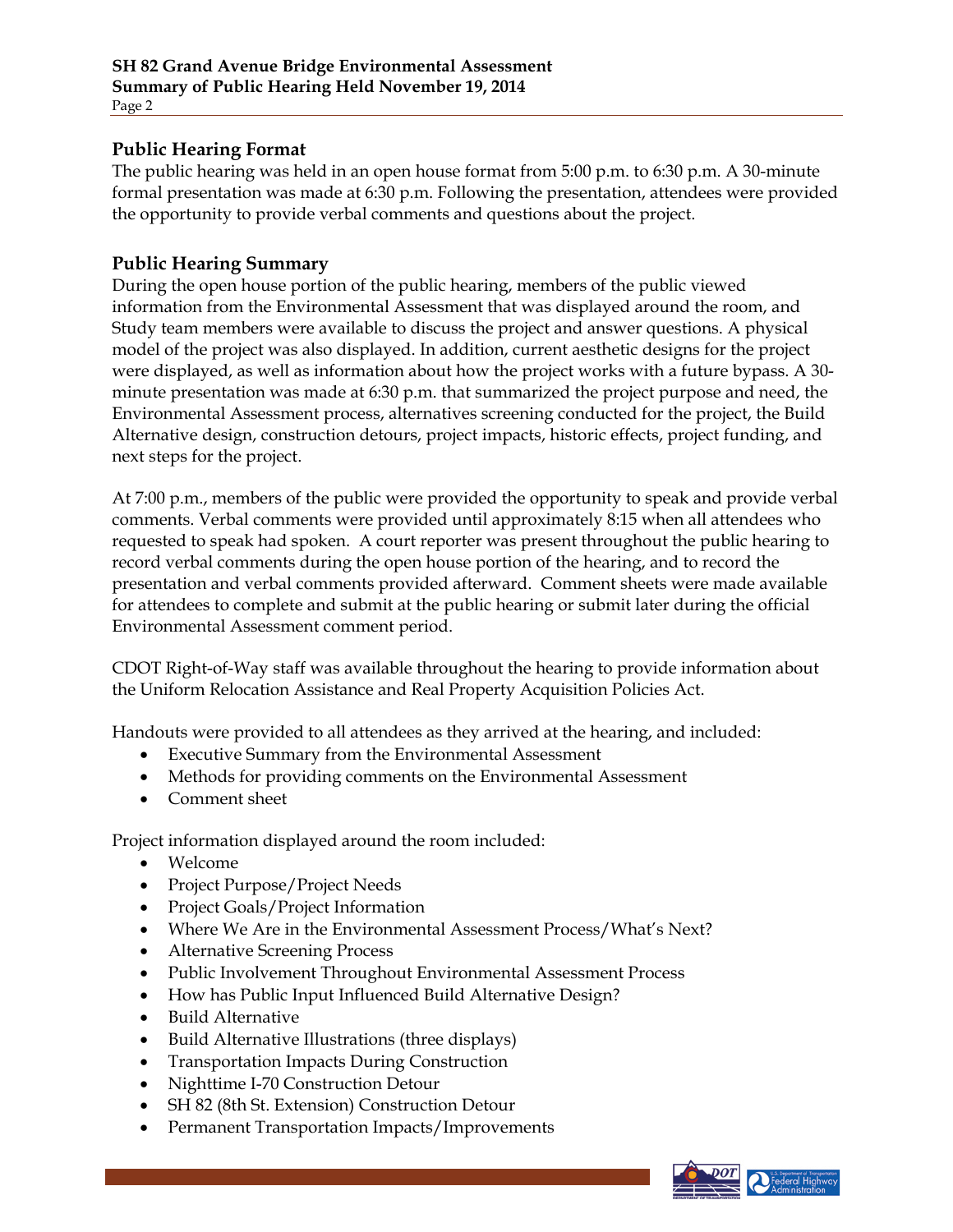### **Public Hearing Format**

The public hearing was held in an open house format from 5:00 p.m. to 6:30 p.m. A 30-minute formal presentation was made at 6:30 p.m. Following the presentation, attendees were provided the opportunity to provide verbal comments and questions about the project.

#### **Public Hearing Summary**

During the open house portion of the public hearing, members of the public viewed information from the Environmental Assessment that was displayed around the room, and Study team members were available to discuss the project and answer questions. A physical model of the project was also displayed. In addition, current aesthetic designs for the project were displayed, as well as information about how the project works with a future bypass. A 30 minute presentation was made at 6:30 p.m. that summarized the project purpose and need, the Environmental Assessment process, alternatives screening conducted for the project, the Build Alternative design, construction detours, project impacts, historic effects, project funding, and next steps for the project.

At 7:00 p.m., members of the public were provided the opportunity to speak and provide verbal comments. Verbal comments were provided until approximately 8:15 when all attendees who requested to speak had spoken. A court reporter was present throughout the public hearing to record verbal comments during the open house portion of the hearing, and to record the presentation and verbal comments provided afterward. Comment sheets were made available for attendees to complete and submit at the public hearing or submit later during the official Environmental Assessment comment period.

CDOT Right-of-Way staff was available throughout the hearing to provide information about the Uniform Relocation Assistance and Real Property Acquisition Policies Act.

Handouts were provided to all attendees as they arrived at the hearing, and included:

- Executive Summary from the Environmental Assessment
- Methods for providing comments on the Environmental Assessment
- Comment sheet

Project information displayed around the room included:

- Welcome
- Project Purpose/Project Needs
- Project Goals/Project Information
- Where We Are in the Environmental Assessment Process/What's Next?
- Alternative Screening Process
- Public Involvement Throughout Environmental Assessment Process
- How has Public Input Influenced Build Alternative Design?
- Build Alternative
- Build Alternative Illustrations (three displays)
- Transportation Impacts During Construction
- Nighttime I-70 Construction Detour
- SH 82 (8th St. Extension) Construction Detour
- Permanent Transportation Impacts/Improvements

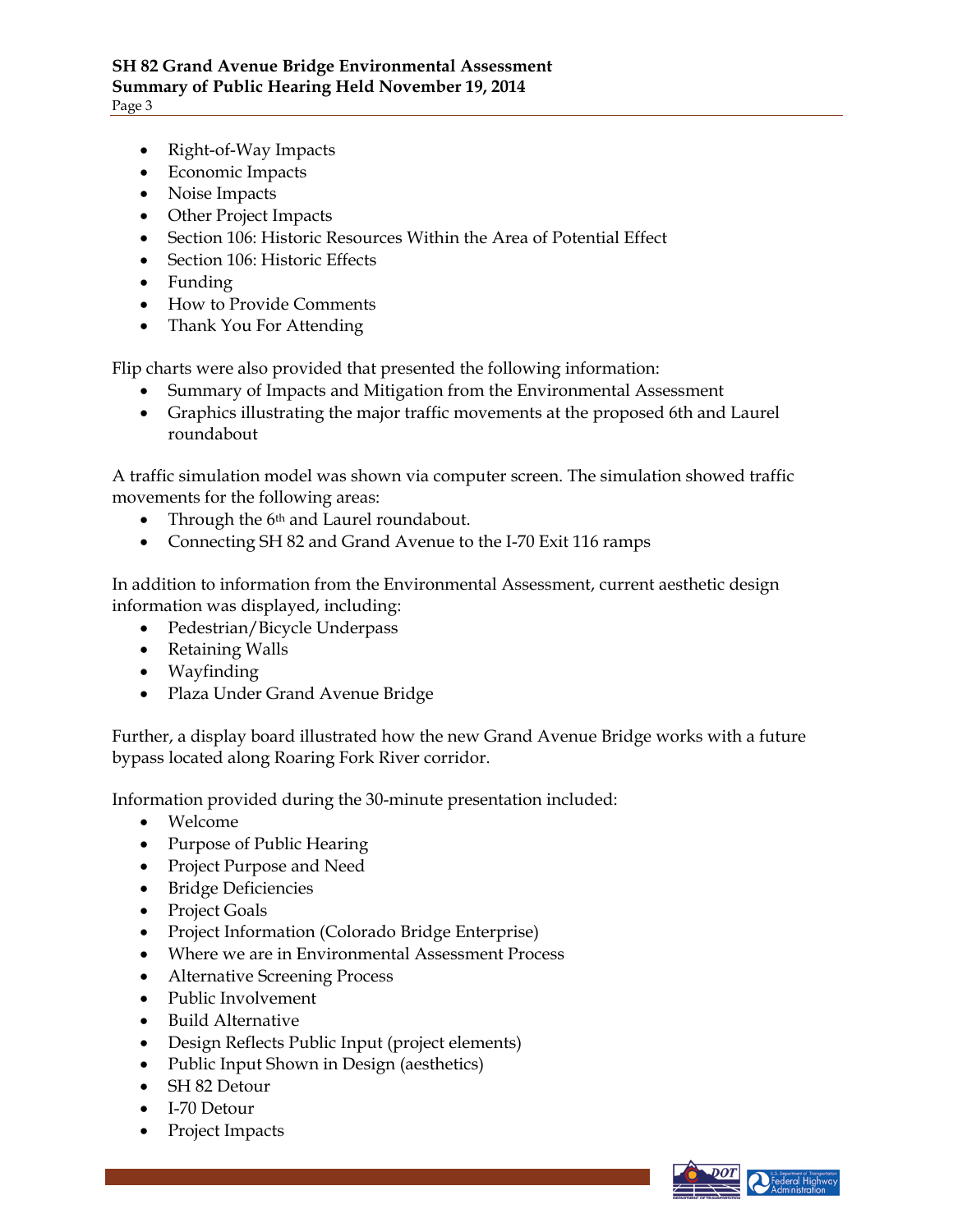- Right-of-Way Impacts
- Economic Impacts
- Noise Impacts
- Other Project Impacts
- Section 106: Historic Resources Within the Area of Potential Effect
- Section 106: Historic Effects
- Funding
- How to Provide Comments
- Thank You For Attending

Flip charts were also provided that presented the following information:

- Summary of Impacts and Mitigation from the Environmental Assessment
- Graphics illustrating the major traffic movements at the proposed 6th and Laurel roundabout

A traffic simulation model was shown via computer screen. The simulation showed traffic movements for the following areas:

- Through the 6<sup>th</sup> and Laurel roundabout.
- Connecting SH 82 and Grand Avenue to the I-70 Exit 116 ramps

In addition to information from the Environmental Assessment, current aesthetic design information was displayed, including:

- Pedestrian/Bicycle Underpass
- Retaining Walls
- Wayfinding
- Plaza Under Grand Avenue Bridge

Further, a display board illustrated how the new Grand Avenue Bridge works with a future bypass located along Roaring Fork River corridor.

Information provided during the 30-minute presentation included:

- Welcome
- Purpose of Public Hearing
- Project Purpose and Need
- Bridge Deficiencies
- Project Goals
- Project Information (Colorado Bridge Enterprise)
- Where we are in Environmental Assessment Process
- Alternative Screening Process
- Public Involvement
- Build Alternative
- Design Reflects Public Input (project elements)
- Public Input Shown in Design (aesthetics)
- SH 82 Detour
- I-70 Detour
- Project Impacts

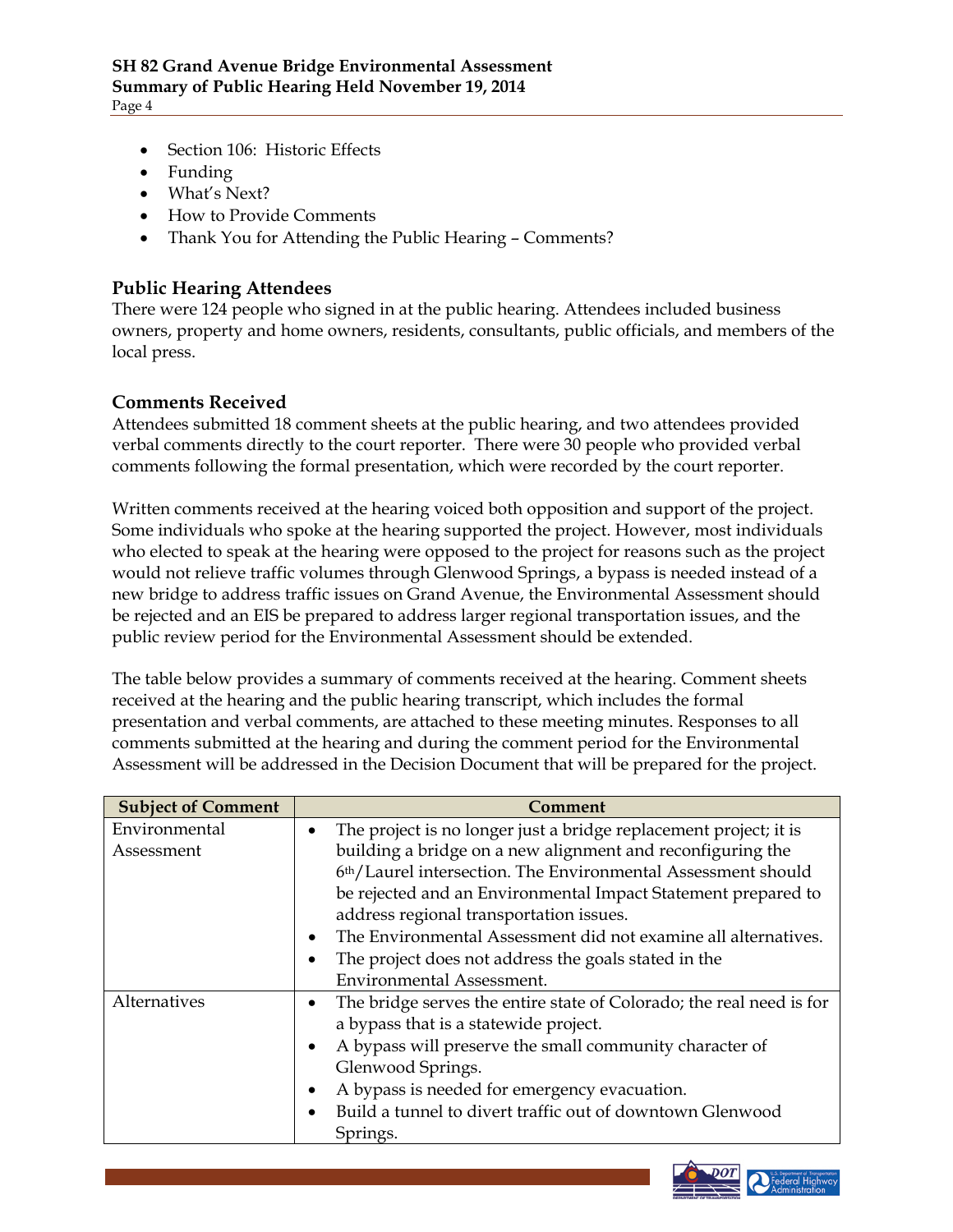- Section 106: Historic Effects
- Funding
- What's Next?
- How to Provide Comments
- Thank You for Attending the Public Hearing Comments?

#### **Public Hearing Attendees**

There were 124 people who signed in at the public hearing. Attendees included business owners, property and home owners, residents, consultants, public officials, and members of the local press.

# **Comments Received**

Attendees submitted 18 comment sheets at the public hearing, and two attendees provided verbal comments directly to the court reporter. There were 30 people who provided verbal comments following the formal presentation, which were recorded by the court reporter.

Written comments received at the hearing voiced both opposition and support of the project. Some individuals who spoke at the hearing supported the project. However, most individuals who elected to speak at the hearing were opposed to the project for reasons such as the project would not relieve traffic volumes through Glenwood Springs, a bypass is needed instead of a new bridge to address traffic issues on Grand Avenue, the Environmental Assessment should be rejected and an EIS be prepared to address larger regional transportation issues, and the public review period for the Environmental Assessment should be extended.

The table below provides a summary of comments received at the hearing. Comment sheets received at the hearing and the public hearing transcript, which includes the formal presentation and verbal comments, are attached to these meeting minutes. Responses to all comments submitted at the hearing and during the comment period for the Environmental Assessment will be addressed in the Decision Document that will be prepared for the project.

| The project is no longer just a bridge replacement project; it is    |
|----------------------------------------------------------------------|
| building a bridge on a new alignment and reconfiguring the           |
| 6th/Laurel intersection. The Environmental Assessment should         |
| be rejected and an Environmental Impact Statement prepared to        |
|                                                                      |
| The Environmental Assessment did not examine all alternatives.       |
|                                                                      |
|                                                                      |
| The bridge serves the entire state of Colorado; the real need is for |
|                                                                      |
|                                                                      |
|                                                                      |
|                                                                      |
|                                                                      |
|                                                                      |
|                                                                      |

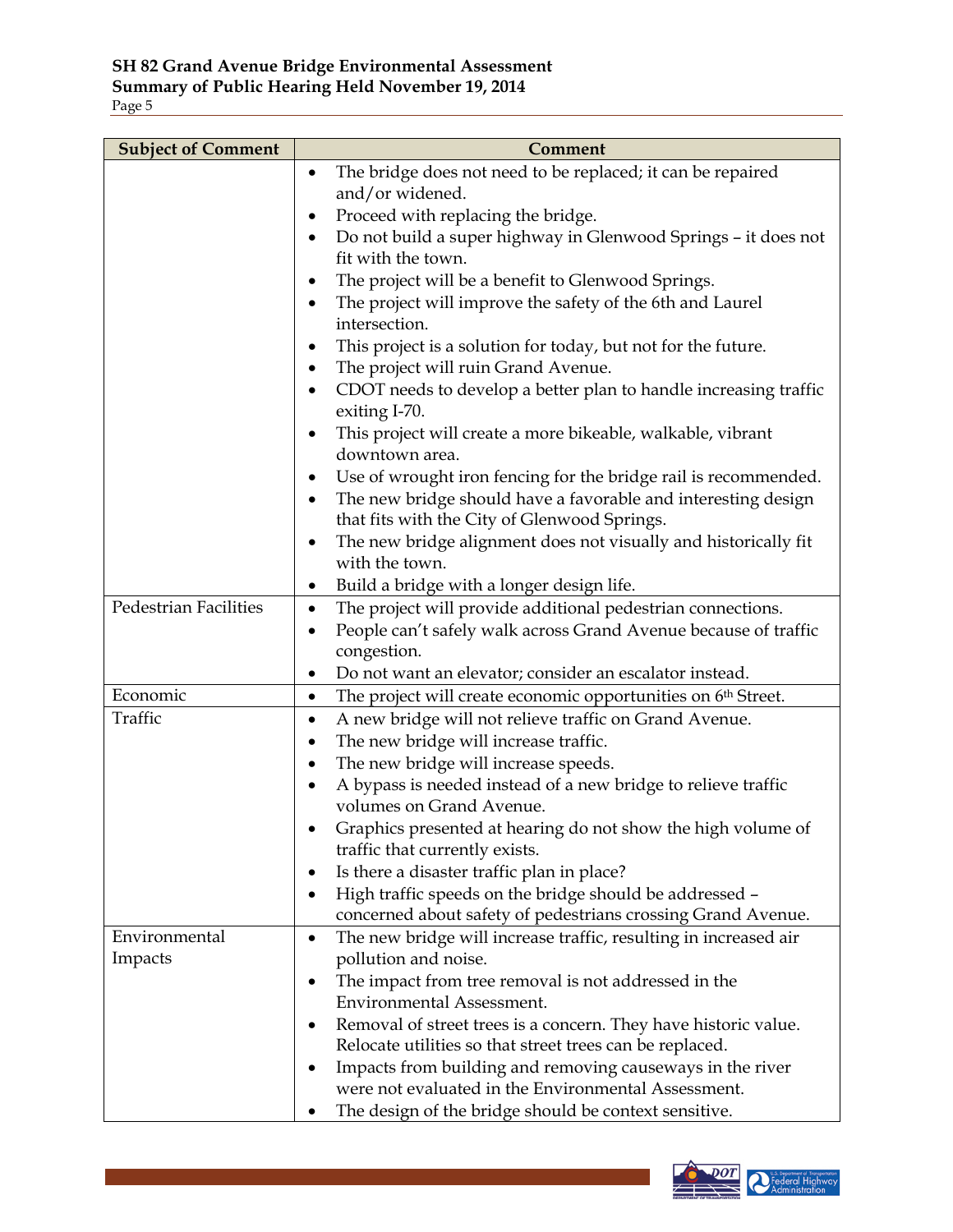| <b>Subject of Comment</b> | Comment                                                                           |
|---------------------------|-----------------------------------------------------------------------------------|
|                           | The bridge does not need to be replaced; it can be repaired<br>$\bullet$          |
|                           | and/or widened.                                                                   |
|                           | Proceed with replacing the bridge.                                                |
|                           | Do not build a super highway in Glenwood Springs - it does not                    |
|                           | fit with the town.                                                                |
|                           | The project will be a benefit to Glenwood Springs.                                |
|                           | The project will improve the safety of the 6th and Laurel                         |
|                           | intersection.                                                                     |
|                           | This project is a solution for today, but not for the future.<br>٠                |
|                           | The project will ruin Grand Avenue.                                               |
|                           | CDOT needs to develop a better plan to handle increasing traffic<br>exiting I-70. |
|                           | This project will create a more bikeable, walkable, vibrant                       |
|                           | downtown area.                                                                    |
|                           | Use of wrought iron fencing for the bridge rail is recommended.<br>٠              |
|                           | The new bridge should have a favorable and interesting design                     |
|                           | that fits with the City of Glenwood Springs.                                      |
|                           | The new bridge alignment does not visually and historically fit<br>٠              |
|                           | with the town.                                                                    |
|                           | Build a bridge with a longer design life.<br>٠                                    |
| Pedestrian Facilities     | The project will provide additional pedestrian connections.<br>$\bullet$          |
|                           | People can't safely walk across Grand Avenue because of traffic<br>٠              |
|                           | congestion.                                                                       |
|                           | Do not want an elevator; consider an escalator instead.                           |
| Economic                  | The project will create economic opportunities on 6 <sup>th</sup> Street.<br>٠    |
| Traffic                   | A new bridge will not relieve traffic on Grand Avenue.<br>٠                       |
|                           | The new bridge will increase traffic.<br>٠                                        |
|                           | The new bridge will increase speeds.<br>٠                                         |
|                           | A bypass is needed instead of a new bridge to relieve traffic<br>٠                |
|                           | volumes on Grand Avenue.                                                          |
|                           | Graphics presented at hearing do not show the high volume of                      |
|                           | traffic that currently exists.<br>Is there a disaster traffic plan in place?      |
|                           | High traffic speeds on the bridge should be addressed -<br>٠                      |
|                           | concerned about safety of pedestrians crossing Grand Avenue.                      |
| Environmental             | The new bridge will increase traffic, resulting in increased air<br>٠             |
| Impacts                   | pollution and noise.                                                              |
|                           | The impact from tree removal is not addressed in the                              |
|                           | <b>Environmental Assessment.</b>                                                  |
|                           | Removal of street trees is a concern. They have historic value.                   |
|                           | Relocate utilities so that street trees can be replaced.                          |
|                           | Impacts from building and removing causeways in the river                         |
|                           | were not evaluated in the Environmental Assessment.                               |
|                           | The design of the bridge should be context sensitive.                             |